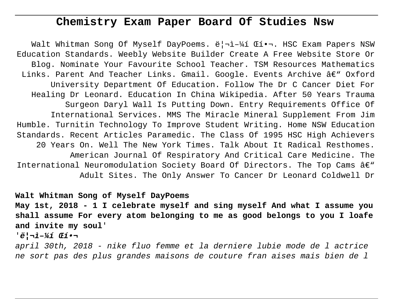# **Chemistry Exam Paper Board Of Studies Nsw**

Walt Whitman Song Of Myself DayPoems. ë¦¬ì–¼í Œí•¬. HSC Exam Papers NSW Education Standards. Weebly Website Builder Create A Free Website Store Or Blog. Nominate Your Favourite School Teacher. TSM Resources Mathematics Links. Parent And Teacher Links. Gmail. Google. Events Archive  $\hat{a}\in$ " Oxford University Department Of Education. Follow The Dr C Cancer Diet For Healing Dr Leonard. Education In China Wikipedia. After 50 Years Trauma Surgeon Daryl Wall Is Putting Down. Entry Requirements Office Of International Services. MMS The Miracle Mineral Supplement From Jim Humble. Turnitin Technology To Improve Student Writing. Home NSW Education Standards. Recent Articles Paramedic. The Class Of 1995 HSC High Achievers 20 Years On. Well The New York Times. Talk About It Radical Resthomes. American Journal Of Respiratory And Critical Care Medicine. The International Neuromodulation Society Board Of Directors. The Top Cams  $\hat{a}\in$ " Adult Sites. The Only Answer To Cancer Dr Leonard Coldwell Dr

**Walt Whitman Song of Myself DayPoems**

**May 1st, 2018 - 1 I celebrate myself and sing myself And what I assume you shall assume For every atom belonging to me as good belongs to you I loafe and invite my soul**'

'**ë¦¬ì–¼í Œí•¬**

april 30th, 2018 - nike fluo femme et la derniere lubie mode de l actrice ne sort pas des plus grandes maisons de couture fran aises mais bien de l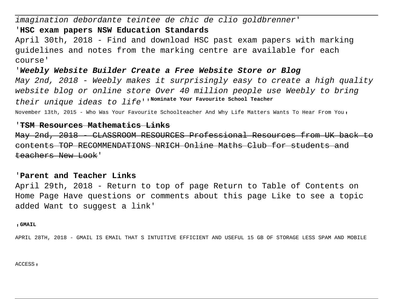imagination debordante teintee de chic de clio goldbrenner'

## '**HSC exam papers NSW Education Standards**

April 30th, 2018 - Find and download HSC past exam papers with marking guidelines and notes from the marking centre are available for each course'

'**Weebly Website Builder Create a Free Website Store or Blog** May 2nd, 2018 - Weebly makes it surprisingly easy to create a high quality website blog or online store Over 40 million people use Weebly to bring their unique ideas to life''**Nominate Your Favourite School Teacher** November 13th, 2015 - Who Was Your Favourite Schoolteacher And Why Life Matters Wants To Hear From You'

### '**TSM Resources Mathematics Links**

May 2nd, 2018 - CLASSROOM RESOURCES Professional Resources from UK back contents TOP RECOMMENDATIONS NRICH Online Maths Club for students and teachers New Look'

## '**Parent and Teacher Links**

April 29th, 2018 - Return to top of page Return to Table of Contents on Home Page Have questions or comments about this page Like to see a topic added Want to suggest a link'

#### '**GMAIL**

APRIL 28TH, 2018 - GMAIL IS EMAIL THAT S INTUITIVE EFFICIENT AND USEFUL 15 GB OF STORAGE LESS SPAM AND MOBILE

ACCESS,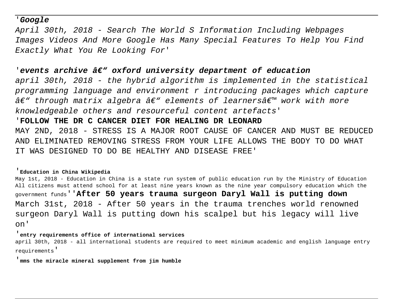## '**Google**

April 30th, 2018 - Search The World S Information Including Webpages Images Videos And More Google Has Many Special Features To Help You Find Exactly What You Re Looking For'

# 'events archive  $\hat{a}\epsilon$ <sup>"</sup> oxford university department of education

april 30th, 2018 - the hybrid algorithm is implemented in the statistical programming language and environment r introducing packages which capture  $\hat{a}\epsilon$ " through matrix algebra  $\hat{a}\epsilon$ " elements of learners $\hat{a}\epsilon$ " work with more knowledgeable others and resourceful content artefacts'

## '**FOLLOW THE DR C CANCER DIET FOR HEALING DR LEONARD**

MAY 2ND, 2018 - STRESS IS A MAJOR ROOT CAUSE OF CANCER AND MUST BE REDUCED AND ELIMINATED REMOVING STRESS FROM YOUR LIFE ALLOWS THE BODY TO DO WHAT IT WAS DESIGNED TO DO BE HEALTHY AND DISEASE FREE'

### '**Education in China Wikipedia**

May 1st, 2018 - Education in China is a state run system of public education run by the Ministry of Education All citizens must attend school for at least nine years known as the nine year compulsory education which the government funds''**After 50 years trauma surgeon Daryl Wall is putting down** March 31st, 2018 - After 50 years in the trauma trenches world renowned surgeon Daryl Wall is putting down his scalpel but his legacy will live on'

### '**entry requirements office of international services**

april 30th, 2018 - all international students are required to meet minimum academic and english language entry requirements'

#### '**mms the miracle mineral supplement from jim humble**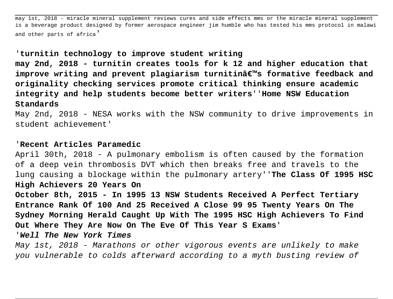may 1st, 2018 - miracle mineral supplement reviews cures and side effects mms or the miracle mineral supplement is a beverage product designed by former aerospace engineer jim humble who has tested his mms protocol in malawi and other parts of africa'

# '**turnitin technology to improve student writing**

**may 2nd, 2018 - turnitin creates tools for k 12 and higher education that** improve writing and prevent plagiarism turnitinâ€<sup>™</sup>s formative feedback and **originality checking services promote critical thinking ensure academic integrity and help students become better writers**''**Home NSW Education Standards**

May 2nd, 2018 - NESA works with the NSW community to drive improvements in student achievement'

## '**Recent Articles Paramedic**

April 30th, 2018 - A pulmonary embolism is often caused by the formation of a deep vein thrombosis DVT which then breaks free and travels to the lung causing a blockage within the pulmonary artery''**The Class Of 1995 HSC High Achievers 20 Years On**

**October 8th, 2015 - In 1995 13 NSW Students Received A Perfect Tertiary Entrance Rank Of 100 And 25 Received A Close 99 95 Twenty Years On The Sydney Morning Herald Caught Up With The 1995 HSC High Achievers To Find Out Where They Are Now On The Eve Of This Year S Exams**'

'**Well The New York Times**

May 1st, 2018 - Marathons or other vigorous events are unlikely to make you vulnerable to colds afterward according to a myth busting review of